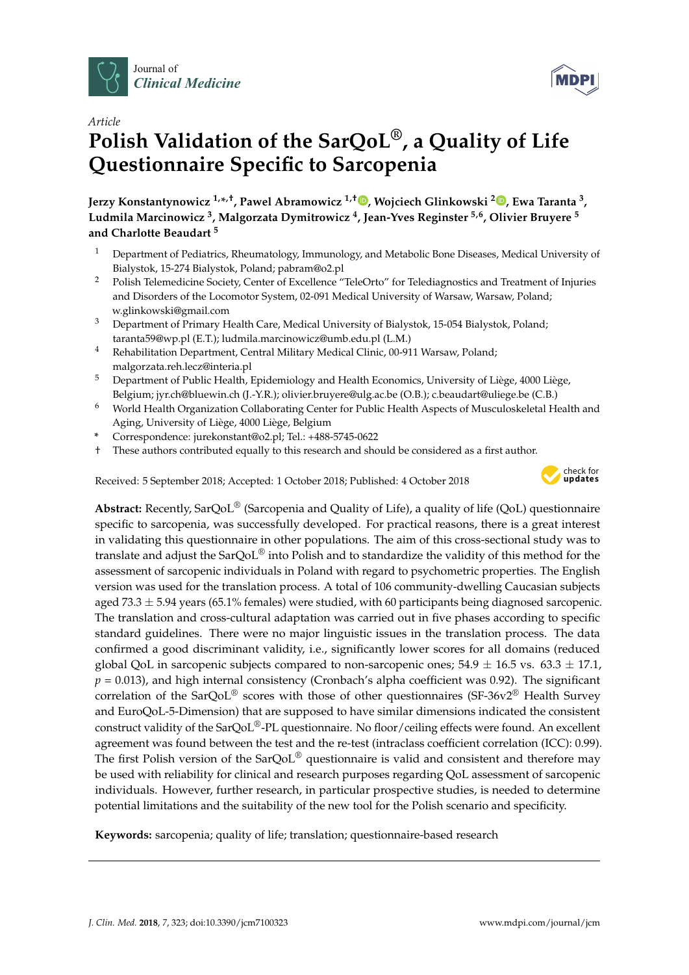



# *Article* **Polish Validation of the SarQoL®, a Quality of Life Questionnaire Specific to Sarcopenia**

**Jerzy Konstantynowicz 1,\* ,†, Pawel Abramowicz 1,† [,](https://orcid.org/0000-0001-6150-0971) Wojciech Glinkowski <sup>2</sup> [,](https://orcid.org/0000-0003-2602-1128) Ewa Taranta <sup>3</sup> , Ludmila Marcinowicz <sup>3</sup> , Malgorzata Dymitrowicz <sup>4</sup> , Jean-Yves Reginster 5,6, Olivier Bruyere <sup>5</sup> and Charlotte Beaudart <sup>5</sup>**

- <sup>1</sup> Department of Pediatrics, Rheumatology, Immunology, and Metabolic Bone Diseases, Medical University of Bialystok, 15-274 Bialystok, Poland; pabram@o2.pl
- <sup>2</sup> Polish Telemedicine Society, Center of Excellence "TeleOrto" for Telediagnostics and Treatment of Injuries and Disorders of the Locomotor System, 02-091 Medical University of Warsaw, Warsaw, Poland; w.glinkowski@gmail.com
- <sup>3</sup> Department of Primary Health Care, Medical University of Bialystok, 15-054 Bialystok, Poland; taranta59@wp.pl (E.T.); ludmila.marcinowicz@umb.edu.pl (L.M.)
- <sup>4</sup> Rehabilitation Department, Central Military Medical Clinic, 00-911 Warsaw, Poland; malgorzata.reh.lecz@interia.pl
- <sup>5</sup> Department of Public Health, Epidemiology and Health Economics, University of Liège, 4000 Liège, Belgium; jyr.ch@bluewin.ch (J.-Y.R.); olivier.bruyere@ulg.ac.be (O.B.); c.beaudart@uliege.be (C.B.)
- <sup>6</sup> World Health Organization Collaborating Center for Public Health Aspects of Musculoskeletal Health and Aging, University of Liège, 4000 Liège, Belgium
- **\*** Correspondence: jurekonstant@o2.pl; Tel.: +488-5745-0622
- † These authors contributed equally to this research and should be considered as a first author.

Received: 5 September 2018; Accepted: 1 October 2018; Published: 4 October 2018



**Abstract:** Recently, SarQoL® (Sarcopenia and Quality of Life), a quality of life (QoL) questionnaire specific to sarcopenia, was successfully developed. For practical reasons, there is a great interest in validating this questionnaire in other populations. The aim of this cross-sectional study was to translate and adjust the SarQoL® into Polish and to standardize the validity of this method for the assessment of sarcopenic individuals in Poland with regard to psychometric properties. The English version was used for the translation process. A total of 106 community-dwelling Caucasian subjects aged 73.3  $\pm$  5.94 years (65.1% females) were studied, with 60 participants being diagnosed sarcopenic. The translation and cross-cultural adaptation was carried out in five phases according to specific standard guidelines. There were no major linguistic issues in the translation process. The data confirmed a good discriminant validity, i.e., significantly lower scores for all domains (reduced global QoL in sarcopenic subjects compared to non-sarcopenic ones;  $54.9 \pm 16.5$  vs.  $63.3 \pm 17.1$ ,  $p = 0.013$ ), and high internal consistency (Cronbach's alpha coefficient was 0.92). The significant correlation of the  $\text{SarQoL}^{\circledR}$  scores with those of other questionnaires (SF-36v2 $^{\circledR}$  Health Survey and EuroQoL-5-Dimension) that are supposed to have similar dimensions indicated the consistent construct validity of the SarQoL®-PL questionnaire. No floor/ceiling effects were found. An excellent agreement was found between the test and the re-test (intraclass coefficient correlation (ICC): 0.99). The first Polish version of the SarQoL<sup>®</sup> questionnaire is valid and consistent and therefore may be used with reliability for clinical and research purposes regarding QoL assessment of sarcopenic individuals. However, further research, in particular prospective studies, is needed to determine potential limitations and the suitability of the new tool for the Polish scenario and specificity.

**Keywords:** sarcopenia; quality of life; translation; questionnaire-based research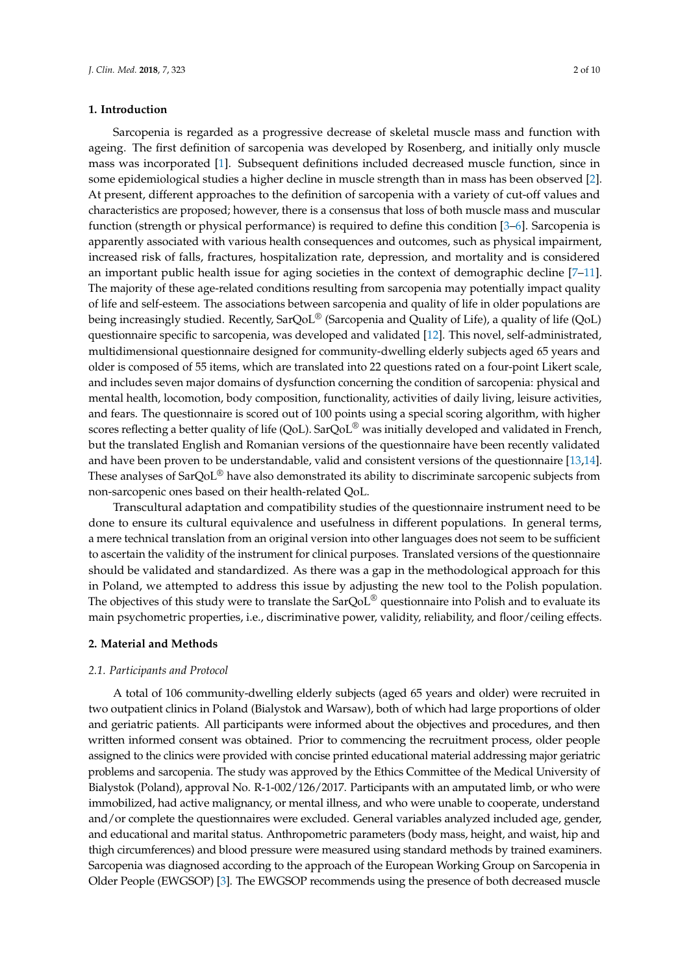## **1. Introduction**

Sarcopenia is regarded as a progressive decrease of skeletal muscle mass and function with ageing. The first definition of sarcopenia was developed by Rosenberg, and initially only muscle mass was incorporated [\[1\]](#page-8-0). Subsequent definitions included decreased muscle function, since in some epidemiological studies a higher decline in muscle strength than in mass has been observed [\[2\]](#page-8-1). At present, different approaches to the definition of sarcopenia with a variety of cut-off values and characteristics are proposed; however, there is a consensus that loss of both muscle mass and muscular function (strength or physical performance) is required to define this condition [\[3–](#page-8-2)[6\]](#page-8-3). Sarcopenia is apparently associated with various health consequences and outcomes, such as physical impairment, increased risk of falls, fractures, hospitalization rate, depression, and mortality and is considered an important public health issue for aging societies in the context of demographic decline [\[7–](#page-8-4)[11\]](#page-8-5). The majority of these age-related conditions resulting from sarcopenia may potentially impact quality of life and self-esteem. The associations between sarcopenia and quality of life in older populations are being increasingly studied. Recently, SarQoL<sup>®</sup> (Sarcopenia and Quality of Life), a quality of life (QoL) questionnaire specific to sarcopenia, was developed and validated [\[12\]](#page-9-0). This novel, self-administrated, multidimensional questionnaire designed for community-dwelling elderly subjects aged 65 years and older is composed of 55 items, which are translated into 22 questions rated on a four-point Likert scale, and includes seven major domains of dysfunction concerning the condition of sarcopenia: physical and mental health, locomotion, body composition, functionality, activities of daily living, leisure activities, and fears. The questionnaire is scored out of 100 points using a special scoring algorithm, with higher scores reflecting a better quality of life (QoL). SarQoL<sup>®</sup> was initially developed and validated in French, but the translated English and Romanian versions of the questionnaire have been recently validated and have been proven to be understandable, valid and consistent versions of the questionnaire [\[13](#page-9-1)[,14\]](#page-9-2). These analyses of SarQoL<sup>®</sup> have also demonstrated its ability to discriminate sarcopenic subjects from non-sarcopenic ones based on their health-related QoL.

Transcultural adaptation and compatibility studies of the questionnaire instrument need to be done to ensure its cultural equivalence and usefulness in different populations. In general terms, a mere technical translation from an original version into other languages does not seem to be sufficient to ascertain the validity of the instrument for clinical purposes. Translated versions of the questionnaire should be validated and standardized. As there was a gap in the methodological approach for this in Poland, we attempted to address this issue by adjusting the new tool to the Polish population. The objectives of this study were to translate the SarQoL<sup>®</sup> questionnaire into Polish and to evaluate its main psychometric properties, i.e., discriminative power, validity, reliability, and floor/ceiling effects.

#### **2. Material and Methods**

## *2.1. Participants and Protocol*

A total of 106 community-dwelling elderly subjects (aged 65 years and older) were recruited in two outpatient clinics in Poland (Bialystok and Warsaw), both of which had large proportions of older and geriatric patients. All participants were informed about the objectives and procedures, and then written informed consent was obtained. Prior to commencing the recruitment process, older people assigned to the clinics were provided with concise printed educational material addressing major geriatric problems and sarcopenia. The study was approved by the Ethics Committee of the Medical University of Bialystok (Poland), approval No. R-1-002/126/2017. Participants with an amputated limb, or who were immobilized, had active malignancy, or mental illness, and who were unable to cooperate, understand and/or complete the questionnaires were excluded. General variables analyzed included age, gender, and educational and marital status. Anthropometric parameters (body mass, height, and waist, hip and thigh circumferences) and blood pressure were measured using standard methods by trained examiners. Sarcopenia was diagnosed according to the approach of the European Working Group on Sarcopenia in Older People (EWGSOP) [\[3\]](#page-8-2). The EWGSOP recommends using the presence of both decreased muscle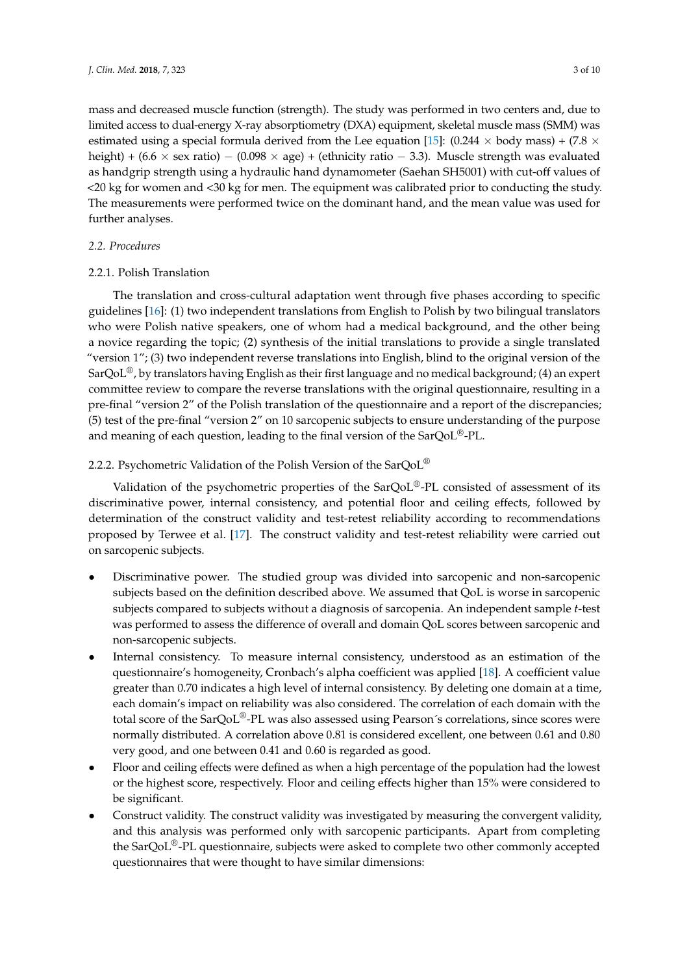mass and decreased muscle function (strength). The study was performed in two centers and, due to limited access to dual-energy X-ray absorptiometry (DXA) equipment, skeletal muscle mass (SMM) was estimated using a special formula derived from the Lee equation [\[15\]](#page-9-3): (0.244  $\times$  body mass) + (7.8  $\times$ height) +  $(6.6 \times$  sex ratio) –  $(0.098 \times$  age) + (ethnicity ratio – 3.3). Muscle strength was evaluated as handgrip strength using a hydraulic hand dynamometer (Saehan SH5001) with cut-off values of <20 kg for women and <30 kg for men. The equipment was calibrated prior to conducting the study. The measurements were performed twice on the dominant hand, and the mean value was used for further analyses.

# *2.2. Procedures*

# 2.2.1. Polish Translation

The translation and cross-cultural adaptation went through five phases according to specific guidelines [\[16\]](#page-9-4): (1) two independent translations from English to Polish by two bilingual translators who were Polish native speakers, one of whom had a medical background, and the other being a novice regarding the topic; (2) synthesis of the initial translations to provide a single translated "version 1"; (3) two independent reverse translations into English, blind to the original version of the SarQoL<sup>®</sup>, by translators having English as their first language and no medical background; (4) an expert committee review to compare the reverse translations with the original questionnaire, resulting in a pre-final "version 2" of the Polish translation of the questionnaire and a report of the discrepancies; (5) test of the pre-final "version 2" on 10 sarcopenic subjects to ensure understanding of the purpose and meaning of each question, leading to the final version of the SarQoL®-PL.

# 2.2.2. Psychometric Validation of the Polish Version of the SarQoL<sup>®</sup>

Validation of the psychometric properties of the SarQoL®-PL consisted of assessment of its discriminative power, internal consistency, and potential floor and ceiling effects, followed by determination of the construct validity and test-retest reliability according to recommendations proposed by Terwee et al. [\[17\]](#page-9-5). The construct validity and test-retest reliability were carried out on sarcopenic subjects.

- Discriminative power. The studied group was divided into sarcopenic and non-sarcopenic subjects based on the definition described above. We assumed that QoL is worse in sarcopenic subjects compared to subjects without a diagnosis of sarcopenia. An independent sample *t*-test was performed to assess the difference of overall and domain QoL scores between sarcopenic and non-sarcopenic subjects.
- Internal consistency. To measure internal consistency, understood as an estimation of the questionnaire's homogeneity, Cronbach's alpha coefficient was applied [\[18\]](#page-9-6). A coefficient value greater than 0.70 indicates a high level of internal consistency. By deleting one domain at a time, each domain's impact on reliability was also considered. The correlation of each domain with the total score of the SarQoL®-PL was also assessed using Pearson´s correlations, since scores were normally distributed. A correlation above 0.81 is considered excellent, one between 0.61 and 0.80 very good, and one between 0.41 and 0.60 is regarded as good.
- Floor and ceiling effects were defined as when a high percentage of the population had the lowest or the highest score, respectively. Floor and ceiling effects higher than 15% were considered to be significant.
- Construct validity. The construct validity was investigated by measuring the convergent validity, and this analysis was performed only with sarcopenic participants. Apart from completing the SarQoL®-PL questionnaire, subjects were asked to complete two other commonly accepted questionnaires that were thought to have similar dimensions: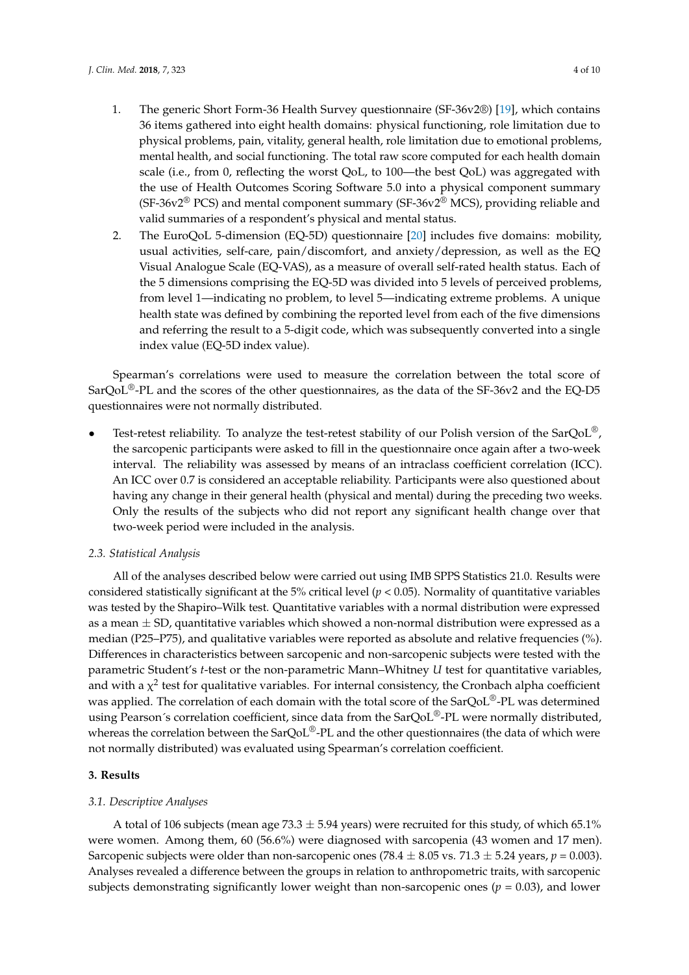- 1. The generic Short Form-36 Health Survey questionnaire (SF-36v2®) [\[19\]](#page-9-7), which contains 36 items gathered into eight health domains: physical functioning, role limitation due to physical problems, pain, vitality, general health, role limitation due to emotional problems, mental health, and social functioning. The total raw score computed for each health domain scale (i.e., from 0, reflecting the worst QoL, to 100—the best QoL) was aggregated with the use of Health Outcomes Scoring Software 5.0 into a physical component summary (SF-36v2<sup>®</sup> PCS) and mental component summary (SF-36v2<sup>®</sup> MCS), providing reliable and valid summaries of a respondent's physical and mental status.
- 2. The EuroQoL 5-dimension (EQ-5D) questionnaire [\[20\]](#page-9-8) includes five domains: mobility, usual activities, self-care, pain/discomfort, and anxiety/depression, as well as the EQ Visual Analogue Scale (EQ-VAS), as a measure of overall self-rated health status. Each of the 5 dimensions comprising the EQ-5D was divided into 5 levels of perceived problems, from level 1—indicating no problem, to level 5—indicating extreme problems. A unique health state was defined by combining the reported level from each of the five dimensions and referring the result to a 5-digit code, which was subsequently converted into a single index value (EQ-5D index value).

Spearman's correlations were used to measure the correlation between the total score of SarQoL<sup>®</sup>-PL and the scores of the other questionnaires, as the data of the SF-36v2 and the EQ-D5 questionnaires were not normally distributed.

Test-retest reliability. To analyze the test-retest stability of our Polish version of the SarQoL®, the sarcopenic participants were asked to fill in the questionnaire once again after a two-week interval. The reliability was assessed by means of an intraclass coefficient correlation (ICC). An ICC over 0.7 is considered an acceptable reliability. Participants were also questioned about having any change in their general health (physical and mental) during the preceding two weeks. Only the results of the subjects who did not report any significant health change over that two-week period were included in the analysis.

#### *2.3. Statistical Analysis*

All of the analyses described below were carried out using IMB SPPS Statistics 21.0. Results were considered statistically significant at the 5% critical level ( $p < 0.05$ ). Normality of quantitative variables was tested by the Shapiro–Wilk test. Quantitative variables with a normal distribution were expressed as a mean  $\pm$  SD, quantitative variables which showed a non-normal distribution were expressed as a median (P25–P75), and qualitative variables were reported as absolute and relative frequencies (%). Differences in characteristics between sarcopenic and non-sarcopenic subjects were tested with the parametric Student's *t*-test or the non-parametric Mann–Whitney *U* test for quantitative variables, and with a  $\chi^2$  test for qualitative variables. For internal consistency, the Cronbach alpha coefficient was applied. The correlation of each domain with the total score of the SarQoL<sup>®</sup>-PL was determined using Pearson's correlation coefficient, since data from the SarQoL®-PL were normally distributed, whereas the correlation between the SarQoL<sup>®</sup>-PL and the other questionnaires (the data of which were not normally distributed) was evaluated using Spearman's correlation coefficient.

#### **3. Results**

#### *3.1. Descriptive Analyses*

A total of 106 subjects (mean age 73.3  $\pm$  5.94 years) were recruited for this study, of which 65.1% were women. Among them, 60 (56.6%) were diagnosed with sarcopenia (43 women and 17 men). Sarcopenic subjects were older than non-sarcopenic ones (78.4  $\pm$  8.05 vs. 71.3  $\pm$  5.24 years,  $p = 0.003$ ). Analyses revealed a difference between the groups in relation to anthropometric traits, with sarcopenic subjects demonstrating significantly lower weight than non-sarcopenic ones ( $p = 0.03$ ), and lower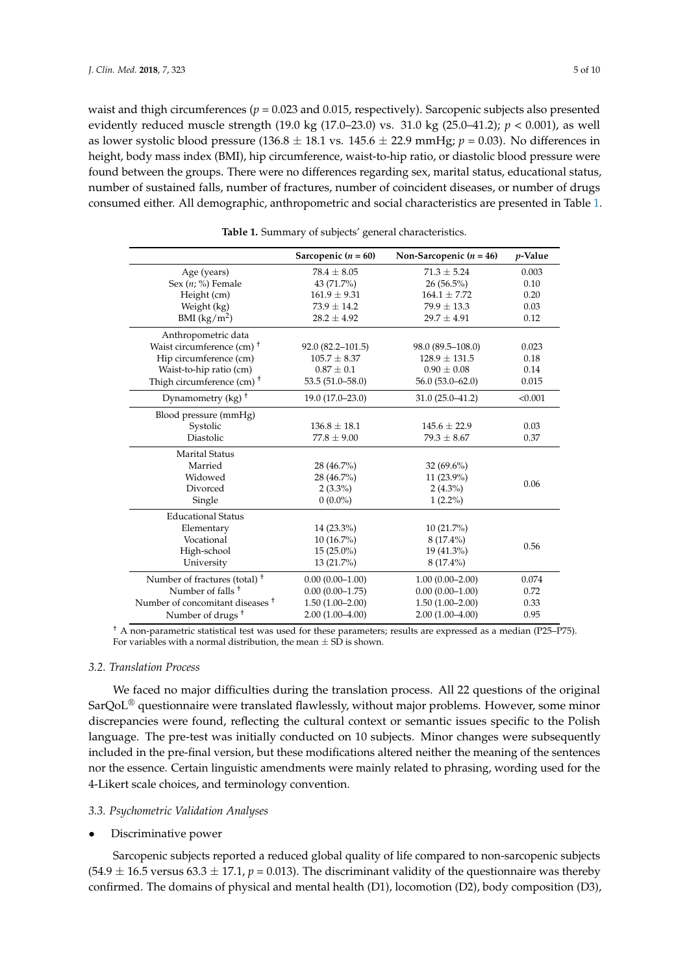waist and thigh circumferences ( $p = 0.023$  and 0.015, respectively). Sarcopenic subjects also presented evidently reduced muscle strength (19.0 kg (17.0–23.0) vs. 31.0 kg (25.0–41.2); *p* < 0.001), as well as lower systolic blood pressure (136.8  $\pm$  18.1 vs. 145.6  $\pm$  22.9 mmHg;  $p = 0.03$ ). No differences in height, body mass index (BMI), hip circumference, waist-to-hip ratio, or diastolic blood pressure were found between the groups. There were no differences regarding sex, marital status, educational status, number of sustained falls, number of fractures, number of coincident diseases, or number of drugs consumed either. All demographic, anthropometric and social characteristics are presented in Table [1.](#page-4-0)

<span id="page-4-0"></span>

|                                             | Sarcopenic $(n = 60)$ | Non-Sarcopenic $(n = 46)$ | $p$ -Value |
|---------------------------------------------|-----------------------|---------------------------|------------|
| Age (years)                                 | $78.4 \pm 8.05$       | $71.3 \pm 5.24$           | 0.003      |
| Sex $(n; \%)$ Female                        | 43 (71.7%)            | $26(56.5\%)$              | 0.10       |
| Height (cm)                                 | $161.9 \pm 9.31$      | $164.1 \pm 7.72$          | 0.20       |
| Weight (kg)                                 | $73.9 \pm 14.2$       | $79.9 \pm 13.3$           | 0.03       |
| BMI $(kg/m^2)$                              | $28.2 \pm 4.92$       | $29.7 \pm 4.91$           | 0.12       |
| Anthropometric data                         |                       |                           |            |
| Waist circumference (cm) <sup>+</sup>       | $92.0(82.2 - 101.5)$  | 98.0 (89.5–108.0)         | 0.023      |
| Hip circumference (cm)                      | $105.7 \pm 8.37$      | $128.9 \pm 131.5$         | 0.18       |
| Waist-to-hip ratio (cm)                     | $0.87 \pm 0.1$        | $0.90 \pm 0.08$           | 0.14       |
| Thigh circumference (cm) $+$                | $53.5(51.0 - 58.0)$   | $56.0(53.0-62.0)$         | 0.015      |
| Dynamometry (kg) <sup>+</sup>               | 19.0 (17.0-23.0)      | $31.0(25.0-41.2)$         | < 0.001    |
| Blood pressure (mmHg)                       |                       |                           |            |
| Systolic                                    | $136.8 \pm 18.1$      | $145.6 \pm 22.9$          | 0.03       |
| Diastolic                                   | $77.8 \pm 9.00$       | $79.3 \pm 8.67$           | 0.37       |
| <b>Marital Status</b>                       |                       |                           |            |
| Married                                     | 28 (46.7%)            | $32(69.6\%)$              |            |
| Widowed                                     | 28 (46.7%)            | 11 (23.9%)                |            |
| Divorced                                    | $2(3.3\%)$            | $2(4.3\%)$                | 0.06       |
| Single                                      | $0(0.0\%)$            | $1(2.2\%)$                |            |
| <b>Educational Status</b>                   |                       |                           |            |
| Elementary                                  | 14 (23.3%)            | $10(21.7\%)$              |            |
| Vocational                                  | $10(16.7\%)$          | $8(17.4\%)$               | 0.56       |
| High-school                                 | $15(25.0\%)$          | 19 (41.3%)                |            |
| University                                  | 13 (21.7%)            | $8(17.4\%)$               |            |
| Number of fractures (total) <sup>+</sup>    | $0.00(0.00-1.00)$     | $1.00(0.00 - 2.00)$       | 0.074      |
| Number of falls <sup>+</sup>                | $0.00(0.00-1.75)$     | $0.00(0.00-1.00)$         | 0.72       |
| Number of concomitant diseases <sup>†</sup> | $1.50(1.00-2.00)$     | $1.50(1.00 - 2.00)$       | 0.33       |
| Number of drugs <sup>+</sup>                | $2.00(1.00-4.00)$     | $2.00(1.00-4.00)$         | 0.95       |

**Table 1.** Summary of subjects' general characteristics.

† A non-parametric statistical test was used for these parameters; results are expressed as a median (P25–P75). For variables with a normal distribution, the mean  $\pm$  SD is shown.

#### *3.2. Translation Process*

We faced no major difficulties during the translation process. All 22 questions of the original  $SarQoL^{\circledR}$  questionnaire were translated flawlessly, without major problems. However, some minor discrepancies were found, reflecting the cultural context or semantic issues specific to the Polish language. The pre-test was initially conducted on 10 subjects. Minor changes were subsequently included in the pre-final version, but these modifications altered neither the meaning of the sentences nor the essence. Certain linguistic amendments were mainly related to phrasing, wording used for the 4-Likert scale choices, and terminology convention.

## *3.3. Psychometric Validation Analyses*

#### • Discriminative power

Sarcopenic subjects reported a reduced global quality of life compared to non-sarcopenic subjects  $(54.9 \pm 16.5 \text{ versus } 63.3 \pm 17.1, p = 0.013)$ . The discriminant validity of the questionnaire was thereby confirmed. The domains of physical and mental health (D1), locomotion (D2), body composition (D3),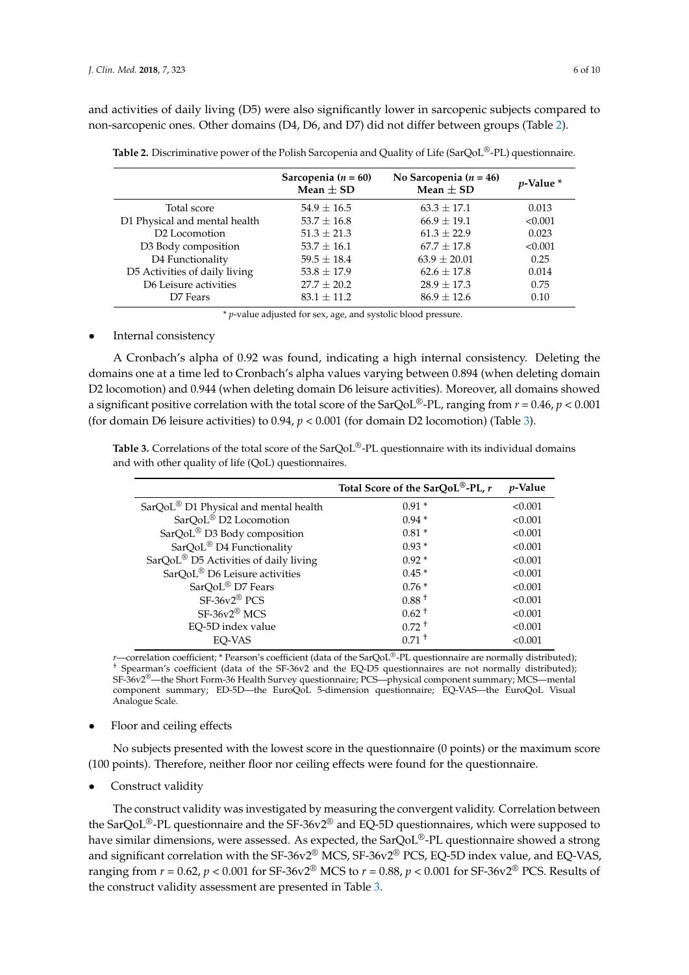and activities of daily living (D5) were also significantly lower in sarcopenic subjects compared to non-sarcopenic ones. Other domains (D4, D6, and D7) did not differ between groups (Table [2\)](#page-5-0).

|                               | Sarcopenia ( $n = 60$ )<br>Mean $\pm$ SD | No Sarcopenia ( $n = 46$ )<br>Mean $\pm$ SD | <i>v</i> -Value * |
|-------------------------------|------------------------------------------|---------------------------------------------|-------------------|
| Total score                   | $54.9 \pm 16.5$                          | $63.3 + 17.1$                               | 0.013             |
| D1 Physical and mental health | $53.7 \pm 16.8$                          | $66.9 \pm 19.1$                             | < 0.001           |
| D <sub>2</sub> Locomotion     | $51.3 \pm 21.3$                          | $61.3 + 22.9$                               | 0.023             |
| D3 Body composition           | $53.7 \pm 16.1$                          | $67.7 + 17.8$                               | < 0.001           |
| D4 Functionality              | $59.5 \pm 18.4$                          | $63.9 \pm 20.01$                            | 0.25              |
| D5 Activities of daily living | $53.8 \pm 17.9$                          | $62.6 + 17.8$                               | 0.014             |
| D6 Leisure activities         | $27.7 \pm 20.2$                          | $28.9 + 17.3$                               | 0.75              |
| D7 Fears                      | $83.1 \pm 11.2$                          | $86.9 \pm 12.6$                             | 0.10              |

<span id="page-5-0"></span>**Table 2.** Discriminative power of the Polish Sarcopenia and Quality of Life (SarQoL®-PL) questionnaire.

\* *p*-value adjusted for sex, age, and systolic blood pressure.

# Internal consistency

A Cronbach's alpha of 0.92 was found, indicating a high internal consistency. Deleting the domains one at a time led to Cronbach's alpha values varying between 0.894 (when deleting domain D2 locomotion) and 0.944 (when deleting domain D6 leisure activities). Moreover, all domains showed a significant positive correlation with the total score of the SarQoL<sup>®</sup>-PL, ranging from  $r = 0.46$ ,  $p < 0.001$ (for domain D6 leisure activities) to 0.94, *p* < 0.001 (for domain D2 locomotion) (Table [3\)](#page-5-1).

<span id="page-5-1"></span>**Table 3.** Correlations of the total score of the SarQoL®-PL questionnaire with its individual domains and with other quality of life (QoL) questionnaires.

|                                                   | Total Score of the SarQoL <sup>®</sup> -PL, $r$ | <i>p</i> -Value |
|---------------------------------------------------|-------------------------------------------------|-----------------|
| SarQoL <sup>®</sup> D1 Physical and mental health | $0.91*$                                         | < 0.001         |
| SarQoL <sup>®</sup> D2 Locomotion                 | $0.94*$                                         | < 0.001         |
| SarQoL <sup>®</sup> D3 Body composition           | $0.81*$                                         | < 0.001         |
| SarQoL <sup>®</sup> D4 Functionality              | $0.93*$                                         | < 0.001         |
| SarQoL <sup>®</sup> D5 Activities of daily living | $0.92*$                                         | < 0.001         |
| SarQoL <sup>®</sup> D6 Leisure activities         | $0.45*$                                         | < 0.001         |
| SarQoL® D7 Fears                                  | $0.76*$                                         | < 0.001         |
| $SF-36v2^{\circledR}$ PCS                         | $0.88^{\mathrm{+}}$                             | < 0.001         |
| $SF-36v2^{\circledR}$ MCS                         | $0.62^+$                                        | < 0.001         |
| EO-5D index value                                 | $0.72 \pm$                                      | < 0.001         |
| EO-VAS                                            | $0.71 \text{ }^+$                               | < 0.001         |

*r*—correlation coefficient; \* Pearson's coefficient (data of the SarQoL®-PL questionnaire are normally distributed); † Spearman's coefficient (data of the SF-36v2 and the EQ-D5 questionnaires are not normally distributed); SF-36v2®—the Short Form-36 Health Survey questionnaire; PCS—physical component summary; MCS—mental component summary; ED-5D—the EuroQoL 5-dimension questionnaire; EQ-VAS—the EuroQoL Visual Analogue Scale.

## • Floor and ceiling effects

No subjects presented with the lowest score in the questionnaire (0 points) or the maximum score (100 points). Therefore, neither floor nor ceiling effects were found for the questionnaire.

Construct validity

The construct validity was investigated by measuring the convergent validity. Correlation between the SarQoL<sup>®</sup>-PL questionnaire and the SF-36v2<sup>®</sup> and EQ-5D questionnaires, which were supposed to have similar dimensions, were assessed. As expected, the SarQoL®-PL questionnaire showed a strong and significant correlation with the SF-36v2® MCS, SF-36v2® PCS, EQ-5D index value, and EQ-VAS, ranging from  $r = 0.62$ ,  $p < 0.001$  for SF-36v2<sup>®</sup> MCS to  $r = 0.88$ ,  $p < 0.001$  for SF-36v2<sup>®</sup> PCS. Results of the construct validity assessment are presented in Table [3.](#page-5-1)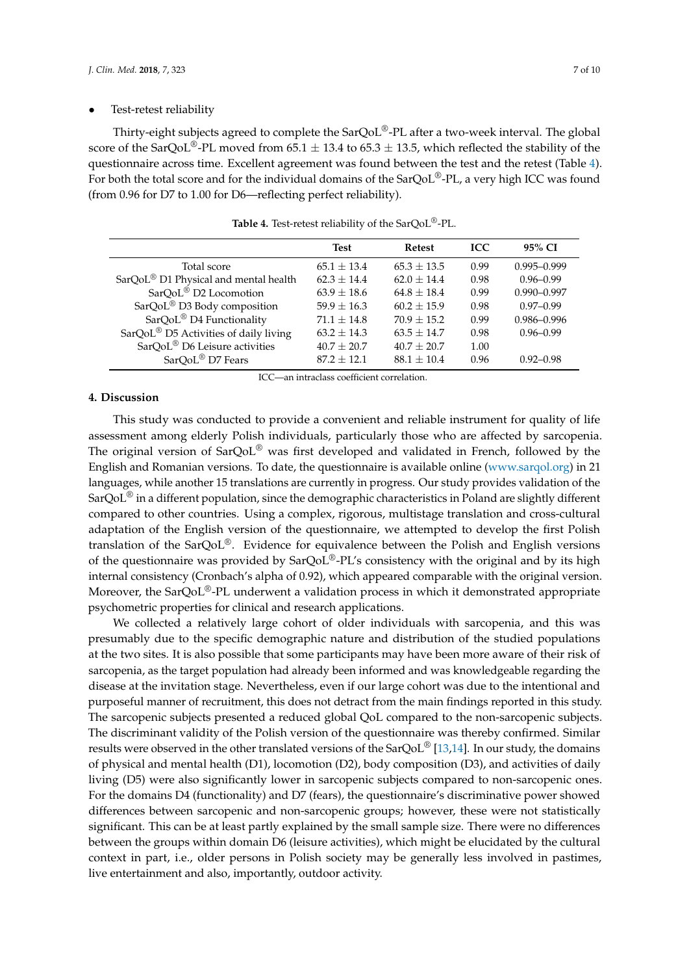#### Test-retest reliability

Thirty-eight subjects agreed to complete the SarQoL®-PL after a two-week interval. The global score of the SarQoL<sup>®</sup>-PL moved from 65.1  $\pm$  13.4 to 65.3  $\pm$  13.5, which reflected the stability of the questionnaire across time. Excellent agreement was found between the test and the retest (Table [4\)](#page-6-0). For both the total score and for the individual domains of the SarQoL<sup>®</sup>-PL, a very high ICC was found (from 0.96 for D7 to 1.00 for D6—reflecting perfect reliability).

<span id="page-6-0"></span>

|                                                   | <b>Test</b>   | <b>Refest</b> | <b>ICC</b> | 95% CI          |
|---------------------------------------------------|---------------|---------------|------------|-----------------|
| Total score                                       | $65.1 + 13.4$ | $65.3 + 13.5$ | 0.99       | $0.995 - 0.999$ |
| SarQoL <sup>®</sup> D1 Physical and mental health | $62.3 + 14.4$ | $62.0 + 14.4$ | 0.98       | $0.96 - 0.99$   |
| SarQoL <sup>®</sup> D2 Locomotion                 | $63.9 + 18.6$ | $64.8 + 18.4$ | 0.99       | $0.990 - 0.997$ |
| SarQoL <sup>®</sup> D3 Body composition           | $59.9 + 16.3$ | $60.2 + 15.9$ | 0.98       | $0.97 - 0.99$   |
| SarQoL <sup>®</sup> D4 Functionality              | $71.1 + 14.8$ | $70.9 + 15.2$ | 0.99       | $0.986 - 0.996$ |
| SarQoL <sup>®</sup> D5 Activities of daily living | $63.2 + 14.3$ | $63.5 + 14.7$ | 0.98       | $0.96 - 0.99$   |
| SarQoL <sup>®</sup> D6 Leisure activities         | $40.7 + 20.7$ | $40.7 + 20.7$ | 1.00       |                 |
| SarQoL® D7 Fears                                  | $87.2 + 12.1$ | $88.1 + 10.4$ | 0.96       | $0.92 - 0.98$   |

**Table 4.** Test-retest reliability of the SarQoL®-PL.

ICC—an intraclass coefficient correlation.

# **4. Discussion**

This study was conducted to provide a convenient and reliable instrument for quality of life assessment among elderly Polish individuals, particularly those who are affected by sarcopenia. The original version of SarQoL® was first developed and validated in French, followed by the English and Romanian versions. To date, the questionnaire is available online [\(www.sarqol.org\)](www.sarqol.org) in 21 languages, while another 15 translations are currently in progress. Our study provides validation of the SarQoL® in a different population, since the demographic characteristics in Poland are slightly different compared to other countries. Using a complex, rigorous, multistage translation and cross-cultural adaptation of the English version of the questionnaire, we attempted to develop the first Polish translation of the  $\text{SarQoL}^{\circledR}$ . Evidence for equivalence between the Polish and English versions of the questionnaire was provided by SarQoL®-PL's consistency with the original and by its high internal consistency (Cronbach's alpha of 0.92), which appeared comparable with the original version. Moreover, the SarQoL<sup>®</sup>-PL underwent a validation process in which it demonstrated appropriate psychometric properties for clinical and research applications.

We collected a relatively large cohort of older individuals with sarcopenia, and this was presumably due to the specific demographic nature and distribution of the studied populations at the two sites. It is also possible that some participants may have been more aware of their risk of sarcopenia, as the target population had already been informed and was knowledgeable regarding the disease at the invitation stage. Nevertheless, even if our large cohort was due to the intentional and purposeful manner of recruitment, this does not detract from the main findings reported in this study. The sarcopenic subjects presented a reduced global QoL compared to the non-sarcopenic subjects. The discriminant validity of the Polish version of the questionnaire was thereby confirmed. Similar results were observed in the other translated versions of the  $SarQoL^{\circledR}$  [\[13](#page-9-1)[,14\]](#page-9-2). In our study, the domains of physical and mental health (D1), locomotion (D2), body composition (D3), and activities of daily living (D5) were also significantly lower in sarcopenic subjects compared to non-sarcopenic ones. For the domains D4 (functionality) and D7 (fears), the questionnaire's discriminative power showed differences between sarcopenic and non-sarcopenic groups; however, these were not statistically significant. This can be at least partly explained by the small sample size. There were no differences between the groups within domain D6 (leisure activities), which might be elucidated by the cultural context in part, i.e., older persons in Polish society may be generally less involved in pastimes, live entertainment and also, importantly, outdoor activity.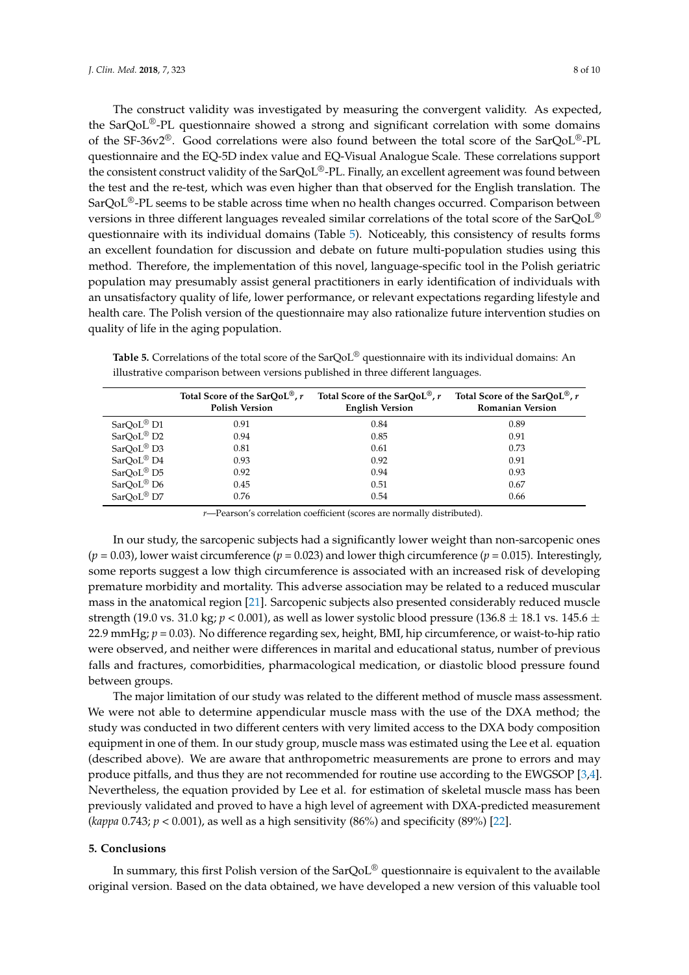The construct validity was investigated by measuring the convergent validity. As expected, the SarQoL<sup>®</sup>-PL questionnaire showed a strong and significant correlation with some domains of the SF-36v2<sup>®</sup>. Good correlations were also found between the total score of the SarQoL<sup>®</sup>-PL questionnaire and the EQ-5D index value and EQ-Visual Analogue Scale. These correlations support the consistent construct validity of the SarQoL®-PL. Finally, an excellent agreement was found between the test and the re-test, which was even higher than that observed for the English translation. The  $SarQoL^{\circledast}$ -PL seems to be stable across time when no health changes occurred. Comparison between versions in three different languages revealed similar correlations of the total score of the SarQoL® questionnaire with its individual domains (Table [5\)](#page-7-0). Noticeably, this consistency of results forms an excellent foundation for discussion and debate on future multi-population studies using this method. Therefore, the implementation of this novel, language-specific tool in the Polish geriatric population may presumably assist general practitioners in early identification of individuals with an unsatisfactory quality of life, lower performance, or relevant expectations regarding lifestyle and health care. The Polish version of the questionnaire may also rationalize future intervention studies on quality of life in the aging population.

|                        | Total Score of the SarQoL <sup>®</sup> , $r$<br><b>Polish Version</b> | Total Score of the SarQoL <sup>®</sup> , r<br><b>English Version</b> | Total Score of the SarOoL <sup>®</sup> , r<br><b>Romanian Version</b> |
|------------------------|-----------------------------------------------------------------------|----------------------------------------------------------------------|-----------------------------------------------------------------------|
| $SarQoL^{\otimes}D1$   | 0.91                                                                  | 0.84                                                                 | 0.89                                                                  |
| SarQoL <sup>®</sup> D2 | 0.94                                                                  | 0.85                                                                 | 0.91                                                                  |
| SarQoL® D3             | 0.81                                                                  | 0.61                                                                 | 0.73                                                                  |
| SarQoL® D4             | 0.93                                                                  | 0.92                                                                 | 0.91                                                                  |
| SarQoL <sup>®</sup> D5 | 0.92                                                                  | 0.94                                                                 | 0.93                                                                  |
| SarQoL <sup>®</sup> D6 | 0.45                                                                  | 0.51                                                                 | 0.67                                                                  |
| SarQoL <sup>®</sup> D7 | 0.76                                                                  | 0.54                                                                 | 0.66                                                                  |

<span id="page-7-0"></span>**Table 5.** Correlations of the total score of the SarQoL® questionnaire with its individual domains: An illustrative comparison between versions published in three different languages.

*r*—Pearson's correlation coefficient (scores are normally distributed).

In our study, the sarcopenic subjects had a significantly lower weight than non-sarcopenic ones  $(p = 0.03)$ , lower waist circumference  $(p = 0.023)$  and lower thigh circumference  $(p = 0.015)$ . Interestingly, some reports suggest a low thigh circumference is associated with an increased risk of developing premature morbidity and mortality. This adverse association may be related to a reduced muscular mass in the anatomical region [\[21\]](#page-9-9). Sarcopenic subjects also presented considerably reduced muscle strength (19.0 vs. 31.0 kg;  $p < 0.001$ ), as well as lower systolic blood pressure (136.8  $\pm$  18.1 vs. 145.6  $\pm$ 22.9 mmHg; *p* = 0.03). No difference regarding sex, height, BMI, hip circumference, or waist-to-hip ratio were observed, and neither were differences in marital and educational status, number of previous falls and fractures, comorbidities, pharmacological medication, or diastolic blood pressure found between groups.

The major limitation of our study was related to the different method of muscle mass assessment. We were not able to determine appendicular muscle mass with the use of the DXA method; the study was conducted in two different centers with very limited access to the DXA body composition equipment in one of them. In our study group, muscle mass was estimated using the Lee et al. equation (described above). We are aware that anthropometric measurements are prone to errors and may produce pitfalls, and thus they are not recommended for routine use according to the EWGSOP [\[3,](#page-8-2)[4\]](#page-8-6). Nevertheless, the equation provided by Lee et al. for estimation of skeletal muscle mass has been previously validated and proved to have a high level of agreement with DXA-predicted measurement *(kappa* 0.743;  $p < 0.001$ ), as well as a high sensitivity (86%) and specificity (89%) [\[22\]](#page-9-10).

## **5. Conclusions**

In summary, this first Polish version of the  $SarQoL^{\circledcirc}$  questionnaire is equivalent to the available original version. Based on the data obtained, we have developed a new version of this valuable tool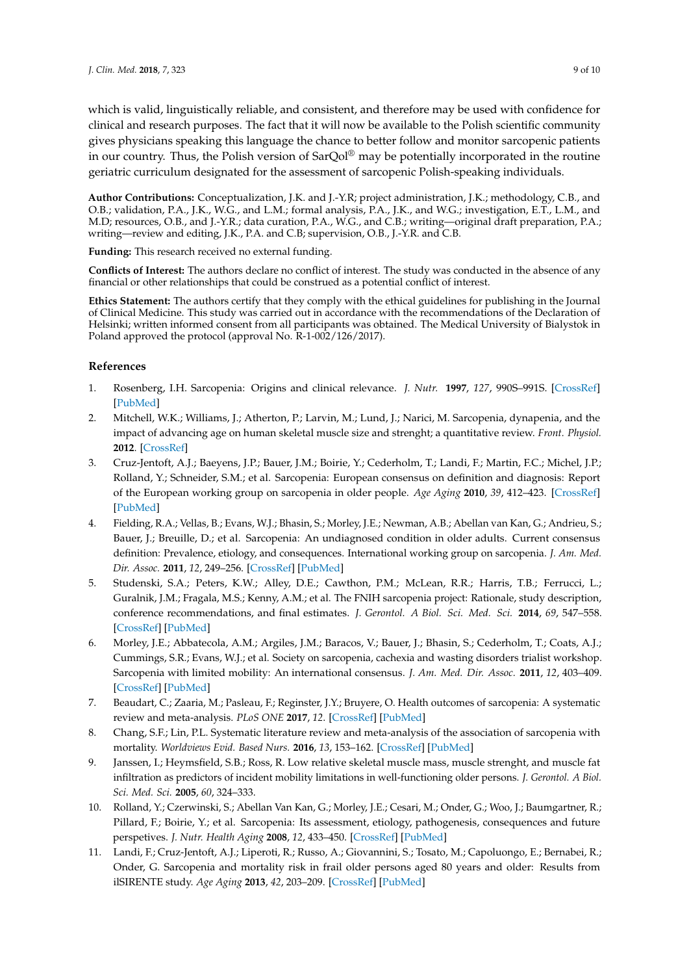which is valid, linguistically reliable, and consistent, and therefore may be used with confidence for clinical and research purposes. The fact that it will now be available to the Polish scientific community gives physicians speaking this language the chance to better follow and monitor sarcopenic patients in our country. Thus, the Polish version of SarQol<sup>®</sup> may be potentially incorporated in the routine geriatric curriculum designated for the assessment of sarcopenic Polish-speaking individuals.

**Author Contributions:** Conceptualization, J.K. and J.-Y.R; project administration, J.K.; methodology, C.B., and O.B.; validation, P.A., J.K., W.G., and L.M.; formal analysis, P.A., J.K., and W.G.; investigation, E.T., L.M., and M.D; resources, O.B., and J.-Y.R.; data curation, P.A., W.G., and C.B.; writing—original draft preparation, P.A.; writing—review and editing, J.K., P.A. and C.B; supervision, O.B., J.-Y.R. and C.B.

**Funding:** This research received no external funding.

**Conflicts of Interest:** The authors declare no conflict of interest. The study was conducted in the absence of any financial or other relationships that could be construed as a potential conflict of interest.

**Ethics Statement:** The authors certify that they comply with the ethical guidelines for publishing in the Journal of Clinical Medicine. This study was carried out in accordance with the recommendations of the Declaration of Helsinki; written informed consent from all participants was obtained. The Medical University of Bialystok in Poland approved the protocol (approval No. R-1-002/126/2017).

# **References**

- <span id="page-8-0"></span>1. Rosenberg, I.H. Sarcopenia: Origins and clinical relevance. *J. Nutr.* **1997**, *127*, 990S–991S. [\[CrossRef\]](http://dx.doi.org/10.1093/jn/127.5.990S) [\[PubMed\]](http://www.ncbi.nlm.nih.gov/pubmed/9164280)
- <span id="page-8-1"></span>2. Mitchell, W.K.; Williams, J.; Atherton, P.; Larvin, M.; Lund, J.; Narici, M. Sarcopenia, dynapenia, and the impact of advancing age on human skeletal muscle size and strenght; a quantitative review. *Front. Physiol.* **2012**. [\[CrossRef\]](http://dx.doi.org/10.3389/fphys.2012.00260)
- <span id="page-8-2"></span>3. Cruz-Jentoft, A.J.; Baeyens, J.P.; Bauer, J.M.; Boirie, Y.; Cederholm, T.; Landi, F.; Martin, F.C.; Michel, J.P.; Rolland, Y.; Schneider, S.M.; et al. Sarcopenia: European consensus on definition and diagnosis: Report of the European working group on sarcopenia in older people. *Age Aging* **2010**, *39*, 412–423. [\[CrossRef\]](http://dx.doi.org/10.1093/ageing/afq034) [\[PubMed\]](http://www.ncbi.nlm.nih.gov/pubmed/20392703)
- <span id="page-8-6"></span>4. Fielding, R.A.; Vellas, B.; Evans, W.J.; Bhasin, S.; Morley, J.E.; Newman, A.B.; Abellan van Kan, G.; Andrieu, S.; Bauer, J.; Breuille, D.; et al. Sarcopenia: An undiagnosed condition in older adults. Current consensus definition: Prevalence, etiology, and consequences. International working group on sarcopenia. *J. Am. Med. Dir. Assoc.* **2011**, *12*, 249–256. [\[CrossRef\]](http://dx.doi.org/10.1016/j.jamda.2011.01.003) [\[PubMed\]](http://www.ncbi.nlm.nih.gov/pubmed/21527165)
- 5. Studenski, S.A.; Peters, K.W.; Alley, D.E.; Cawthon, P.M.; McLean, R.R.; Harris, T.B.; Ferrucci, L.; Guralnik, J.M.; Fragala, M.S.; Kenny, A.M.; et al. The FNIH sarcopenia project: Rationale, study description, conference recommendations, and final estimates. *J. Gerontol. A Biol. Sci. Med. Sci.* **2014**, *69*, 547–558. [\[CrossRef\]](http://dx.doi.org/10.1093/gerona/glu010) [\[PubMed\]](http://www.ncbi.nlm.nih.gov/pubmed/24737557)
- <span id="page-8-3"></span>6. Morley, J.E.; Abbatecola, A.M.; Argiles, J.M.; Baracos, V.; Bauer, J.; Bhasin, S.; Cederholm, T.; Coats, A.J.; Cummings, S.R.; Evans, W.J.; et al. Society on sarcopenia, cachexia and wasting disorders trialist workshop. Sarcopenia with limited mobility: An international consensus. *J. Am. Med. Dir. Assoc.* **2011**, *12*, 403–409. [\[CrossRef\]](http://dx.doi.org/10.1016/j.jamda.2011.04.014) [\[PubMed\]](http://www.ncbi.nlm.nih.gov/pubmed/21640657)
- <span id="page-8-4"></span>7. Beaudart, C.; Zaaria, M.; Pasleau, F.; Reginster, J.Y.; Bruyere, O. Health outcomes of sarcopenia: A systematic review and meta-analysis. *PLoS ONE* **2017**, *12*. [\[CrossRef\]](http://dx.doi.org/10.1371/journal.pone.0169548) [\[PubMed\]](http://www.ncbi.nlm.nih.gov/pubmed/28095426)
- 8. Chang, S.F.; Lin, P.L. Systematic literature review and meta-analysis of the association of sarcopenia with mortality. *Worldviews Evid. Based Nurs.* **2016**, *13*, 153–162. [\[CrossRef\]](http://dx.doi.org/10.1111/wvn.12147) [\[PubMed\]](http://www.ncbi.nlm.nih.gov/pubmed/26844538)
- 9. Janssen, I.; Heymsfield, S.B.; Ross, R. Low relative skeletal muscle mass, muscle strenght, and muscle fat infiltration as predictors of incident mobility limitations in well-functioning older persons. *J. Gerontol. A Biol. Sci. Med. Sci.* **2005**, *60*, 324–333.
- 10. Rolland, Y.; Czerwinski, S.; Abellan Van Kan, G.; Morley, J.E.; Cesari, M.; Onder, G.; Woo, J.; Baumgartner, R.; Pillard, F.; Boirie, Y.; et al. Sarcopenia: Its assessment, etiology, pathogenesis, consequences and future perspetives. *J. Nutr. Health Aging* **2008**, *12*, 433–450. [\[CrossRef\]](http://dx.doi.org/10.1007/BF02982704) [\[PubMed\]](http://www.ncbi.nlm.nih.gov/pubmed/18615225)
- <span id="page-8-5"></span>11. Landi, F.; Cruz-Jentoft, A.J.; Liperoti, R.; Russo, A.; Giovannini, S.; Tosato, M.; Capoluongo, E.; Bernabei, R.; Onder, G. Sarcopenia and mortality risk in frail older persons aged 80 years and older: Results from ilSIRENTE study. *Age Aging* **2013**, *42*, 203–209. [\[CrossRef\]](http://dx.doi.org/10.1093/ageing/afs194) [\[PubMed\]](http://www.ncbi.nlm.nih.gov/pubmed/23321202)